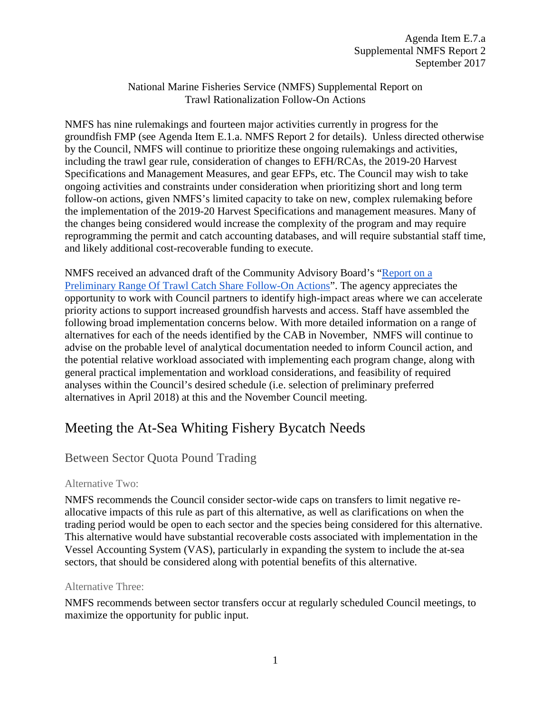National Marine Fisheries Service (NMFS) Supplemental Report on Trawl Rationalization Follow-On Actions

NMFS has nine rulemakings and fourteen major activities currently in progress for the groundfish FMP (see Agenda Item E.1.a. NMFS Report 2 for details). Unless directed otherwise by the Council, NMFS will continue to prioritize these ongoing rulemakings and activities, including the trawl gear rule, consideration of changes to EFH/RCAs, the 2019-20 Harvest Specifications and Management Measures, and gear EFPs, etc. The Council may wish to take ongoing activities and constraints under consideration when prioritizing short and long term follow-on actions, given NMFS's limited capacity to take on new, complex rulemaking before the implementation of the 2019-20 Harvest Specifications and management measures. Many of the changes being considered would increase the complexity of the program and may require reprogramming the permit and catch accounting databases, and will require substantial staff time, and likely additional cost-recoverable funding to execute.

NMFS received an advanced draft of the Community Advisory Board's ["Report on a](http://www.pcouncil.org/wp-content/uploads/2017/08/E7a_CAB_Rpt1_SEPT2017BB.pdf)  [Preliminary Range Of Trawl Catch Share Follow-On Actions"](http://www.pcouncil.org/wp-content/uploads/2017/08/E7a_CAB_Rpt1_SEPT2017BB.pdf). The agency appreciates the opportunity to work with Council partners to identify high-impact areas where we can accelerate priority actions to support increased groundfish harvests and access. Staff have assembled the following broad implementation concerns below. With more detailed information on a range of alternatives for each of the needs identified by the CAB in November, NMFS will continue to advise on the probable level of analytical documentation needed to inform Council action, and the potential relative workload associated with implementing each program change, along with general practical implementation and workload considerations, and feasibility of required analyses within the Council's desired schedule (i.e. selection of preliminary preferred alternatives in April 2018) at this and the November Council meeting.

# Meeting the At-Sea Whiting Fishery Bycatch Needs

### Between Sector Quota Pound Trading

#### Alternative Two:

NMFS recommends the Council consider sector-wide caps on transfers to limit negative reallocative impacts of this rule as part of this alternative, as well as clarifications on when the trading period would be open to each sector and the species being considered for this alternative. This alternative would have substantial recoverable costs associated with implementation in the Vessel Accounting System (VAS), particularly in expanding the system to include the at-sea sectors, that should be considered along with potential benefits of this alternative.

#### Alternative Three:

NMFS recommends between sector transfers occur at regularly scheduled Council meetings, to maximize the opportunity for public input.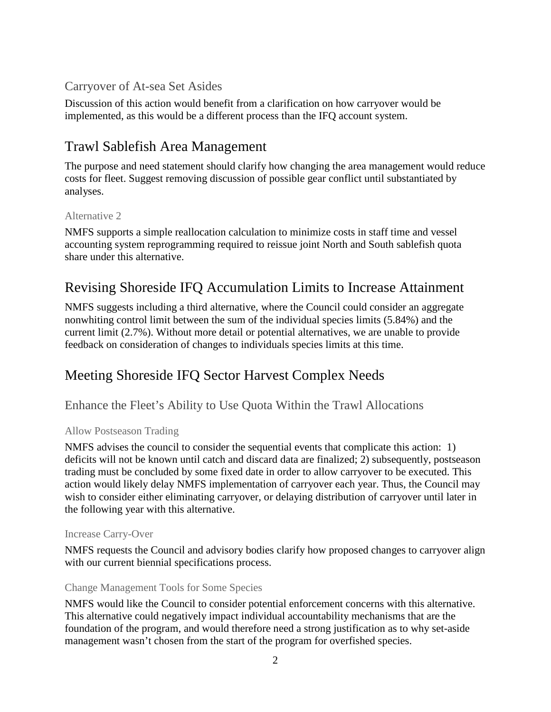### Carryover of At-sea Set Asides

Discussion of this action would benefit from a clarification on how carryover would be implemented, as this would be a different process than the IFQ account system.

### Trawl Sablefish Area Management

The purpose and need statement should clarify how changing the area management would reduce costs for fleet. Suggest removing discussion of possible gear conflict until substantiated by analyses.

#### Alternative 2

NMFS supports a simple reallocation calculation to minimize costs in staff time and vessel accounting system reprogramming required to reissue joint North and South sablefish quota share under this alternative.

# Revising Shoreside IFQ Accumulation Limits to Increase Attainment

NMFS suggests including a third alternative, where the Council could consider an aggregate nonwhiting control limit between the sum of the individual species limits (5.84%) and the current limit (2.7%). Without more detail or potential alternatives, we are unable to provide feedback on consideration of changes to individuals species limits at this time.

# Meeting Shoreside IFQ Sector Harvest Complex Needs

Enhance the Fleet's Ability to Use Quota Within the Trawl Allocations

#### Allow Postseason Trading

NMFS advises the council to consider the sequential events that complicate this action: 1) deficits will not be known until catch and discard data are finalized; 2) subsequently, postseason trading must be concluded by some fixed date in order to allow carryover to be executed. This action would likely delay NMFS implementation of carryover each year. Thus, the Council may wish to consider either eliminating carryover, or delaying distribution of carryover until later in the following year with this alternative.

#### Increase Carry-Over

NMFS requests the Council and advisory bodies clarify how proposed changes to carryover align with our current biennial specifications process.

#### Change Management Tools for Some Species

NMFS would like the Council to consider potential enforcement concerns with this alternative. This alternative could negatively impact individual accountability mechanisms that are the foundation of the program, and would therefore need a strong justification as to why set-aside management wasn't chosen from the start of the program for overfished species.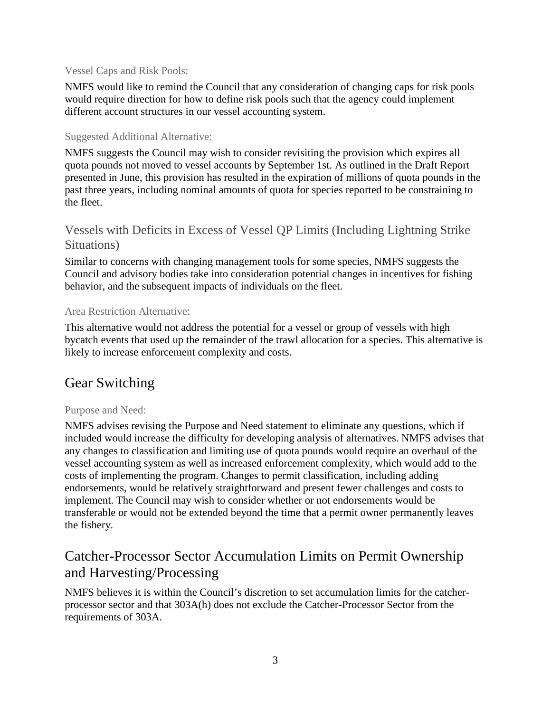#### Vessel Caps and Risk Pools:

NMFS would like to remind the Council that any consideration of changing caps for risk pools would require direction for how to define risk pools such that the agency could implement different account structures in our vessel accounting system.

#### Suggested Additional Alternative:

NMFS suggests the Council may wish to consider revisiting the provision which expires all quota pounds not moved to vessel accounts by September 1st. As outlined in the Draft Report presented in June, this provision has resulted in the expiration of millions of quota pounds in the past three years, including nominal amounts of quota for species reported to be constraining to the fleet.

### Vessels with Deficits in Excess of Vessel QP Limits (Including Lightning Strike Situations)

Similar to concerns with changing management tools for some species, NMFS suggests the Council and advisory bodies take into consideration potential changes in incentives for fishing behavior, and the subsequent impacts of individuals on the fleet.

#### Area Restriction Alternative:

This alternative would not address the potential for a vessel or group of vessels with high bycatch events that used up the remainder of the trawl allocation for a species. This alternative is likely to increase enforcement complexity and costs.

### Gear Switching

#### Purpose and Need:

NMFS advises revising the Purpose and Need statement to eliminate any questions, which if included would increase the difficulty for developing analysis of alternatives. NMFS advises that any changes to classification and limiting use of quota pounds would require an overhaul of the vessel accounting system as well as increased enforcement complexity, which would add to the costs of implementing the program. Changes to permit classification, including adding endorsements, would be relatively straightforward and present fewer challenges and costs to implement. The Council may wish to consider whether or not endorsements would be transferable or would not be extended beyond the time that a permit owner permanently leaves the fishery.

### Catcher-Processor Sector Accumulation Limits on Permit Ownership and Harvesting/Processing

NMFS believes it is within the Council's discretion to set accumulation limits for the catcherprocessor sector and that 303A(h) does not exclude the Catcher-Processor Sector from the requirements of 303A.